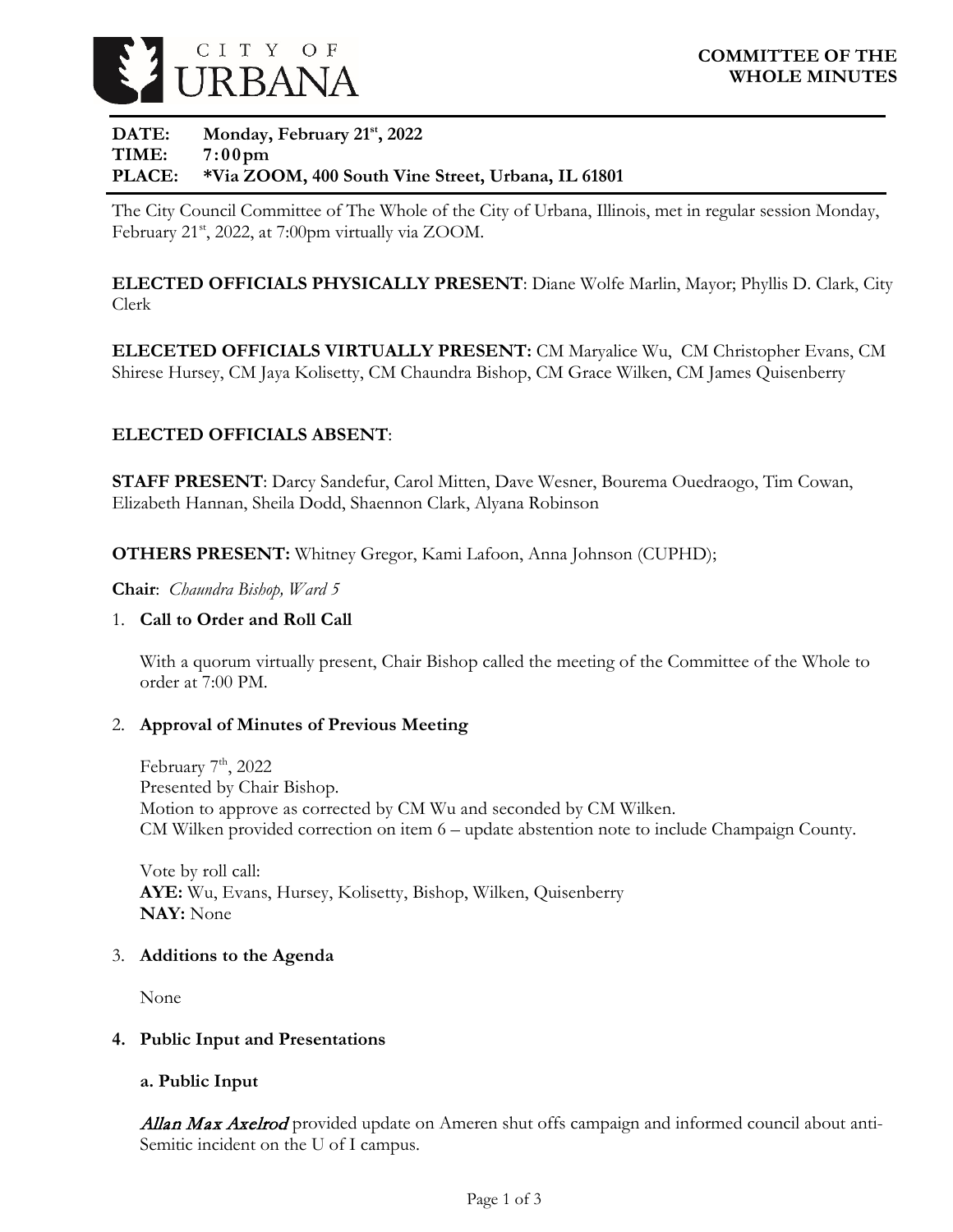

### DATE: Monday, February 21<sup>st</sup>, 2022 **TIME: 7:00pm PLACE: \*Via ZOOM, 400 South Vine Street, Urbana, IL 61801**

The City Council Committee of The Whole of the City of Urbana, Illinois, met in regular session Monday, February 21<sup>st</sup>, 2022, at 7:00pm virtually via ZOOM.

**ELECTED OFFICIALS PHYSICALLY PRESENT**: Diane Wolfe Marlin, Mayor; Phyllis D. Clark, City Clerk

**ELECETED OFFICIALS VIRTUALLY PRESENT:** CM Maryalice Wu, CM Christopher Evans, CM Shirese Hursey, CM Jaya Kolisetty, CM Chaundra Bishop, CM Grace Wilken, CM James Quisenberry

# **ELECTED OFFICIALS ABSENT**:

**STAFF PRESENT**: Darcy Sandefur, Carol Mitten, Dave Wesner, Bourema Ouedraogo, Tim Cowan, Elizabeth Hannan, Sheila Dodd, Shaennon Clark, Alyana Robinson

**OTHERS PRESENT:** Whitney Gregor, Kami Lafoon, Anna Johnson (CUPHD);

**Chair**: *Chaundra Bishop, Ward 5*

#### 1. **Call to Order and Roll Call**

With a quorum virtually present, Chair Bishop called the meeting of the Committee of the Whole to order at 7:00 PM.

### 2. **Approval of Minutes of Previous Meeting**

February  $7<sup>th</sup>$ , 2022 Presented by Chair Bishop. Motion to approve as corrected by CM Wu and seconded by CM Wilken. CM Wilken provided correction on item 6 – update abstention note to include Champaign County.

Vote by roll call: **AYE:** Wu, Evans, Hursey, Kolisetty, Bishop, Wilken, Quisenberry **NAY:** None

#### 3. **Additions to the Agenda**

None

### **4. Public Input and Presentations**

### **a. Public Input**

Allan Max Axelrod provided update on Ameren shut offs campaign and informed council about anti-Semitic incident on the U of I campus.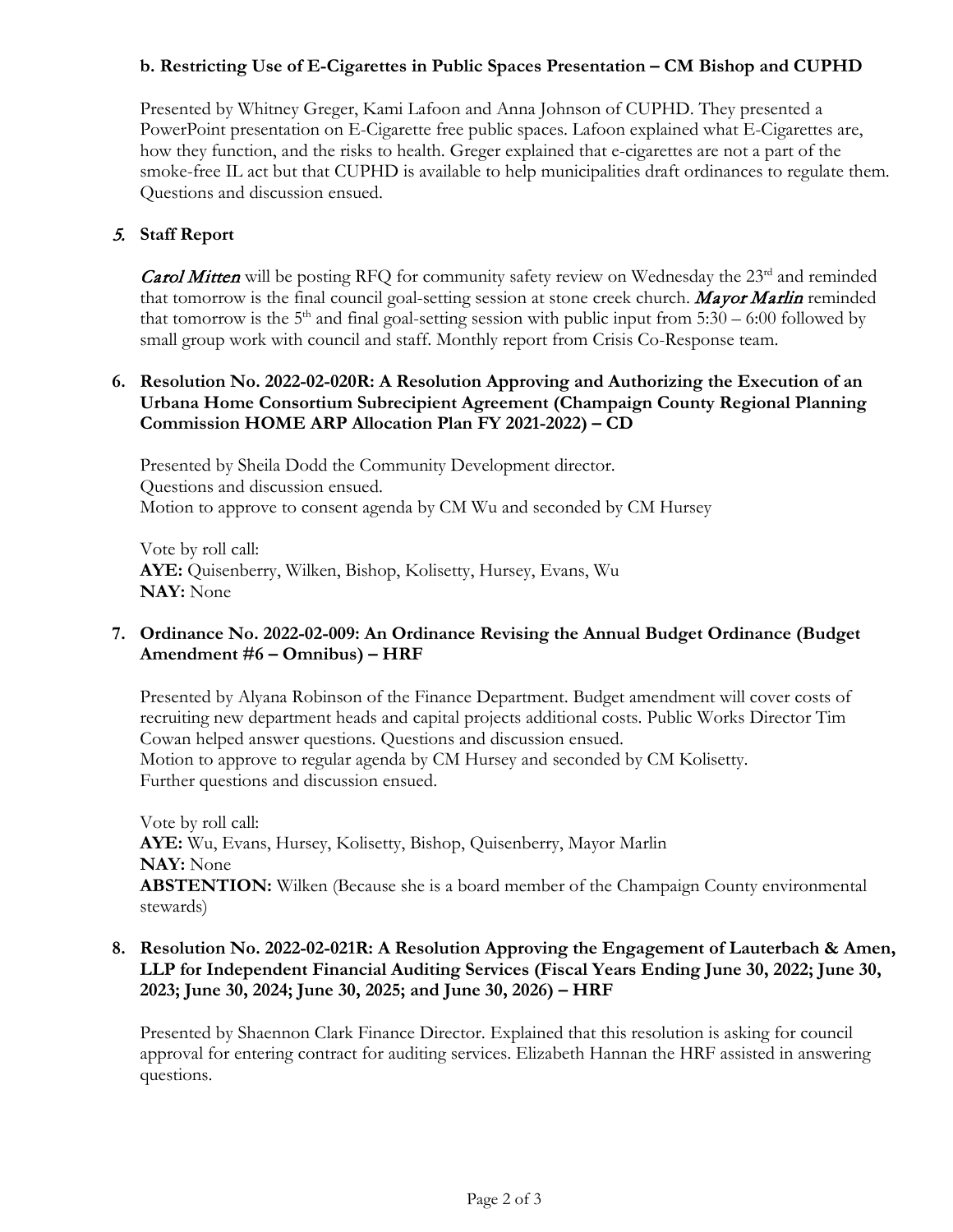## **b. Restricting Use of E-Cigarettes in Public Spaces Presentation – CM Bishop and CUPHD**

Presented by Whitney Greger, Kami Lafoon and Anna Johnson of CUPHD. They presented a PowerPoint presentation on E-Cigarette free public spaces. Lafoon explained what E-Cigarettes are, how they function, and the risks to health. Greger explained that e-cigarettes are not a part of the smoke-free IL act but that CUPHD is available to help municipalities draft ordinances to regulate them. Questions and discussion ensued.

### 5. **Staff Report**

**Carol Mitten** will be posting RFQ for community safety review on Wednesday the  $23<sup>rd</sup>$  and reminded that tomorrow is the final council goal-setting session at stone creek church. Mayor Marlin reminded that tomorrow is the  $5<sup>th</sup>$  and final goal-setting session with public input from  $5:30 - 6:00$  followed by small group work with council and staff. Monthly report from Crisis Co-Response team.

### **6. Resolution No. 2022-02-020R: A Resolution Approving and Authorizing the Execution of an Urbana Home Consortium Subrecipient Agreement (Champaign County Regional Planning Commission HOME ARP Allocation Plan FY 2021-2022) – CD**

Presented by Sheila Dodd the Community Development director. Questions and discussion ensued. Motion to approve to consent agenda by CM Wu and seconded by CM Hursey

Vote by roll call: **AYE:** Quisenberry, Wilken, Bishop, Kolisetty, Hursey, Evans, Wu **NAY:** None

### **7. Ordinance No. 2022-02-009: An Ordinance Revising the Annual Budget Ordinance (Budget Amendment #6 – Omnibus) – HRF**

Presented by Alyana Robinson of the Finance Department. Budget amendment will cover costs of recruiting new department heads and capital projects additional costs. Public Works Director Tim Cowan helped answer questions. Questions and discussion ensued. Motion to approve to regular agenda by CM Hursey and seconded by CM Kolisetty. Further questions and discussion ensued.

Vote by roll call: **AYE:** Wu, Evans, Hursey, Kolisetty, Bishop, Quisenberry, Mayor Marlin **NAY:** None **ABSTENTION:** Wilken (Because she is a board member of the Champaign County environmental stewards)

### **8. Resolution No. 2022-02-021R: A Resolution Approving the Engagement of Lauterbach & Amen, LLP for Independent Financial Auditing Services (Fiscal Years Ending June 30, 2022; June 30, 2023; June 30, 2024; June 30, 2025; and June 30, 2026) – HRF**

Presented by Shaennon Clark Finance Director. Explained that this resolution is asking for council approval for entering contract for auditing services. Elizabeth Hannan the HRF assisted in answering questions.